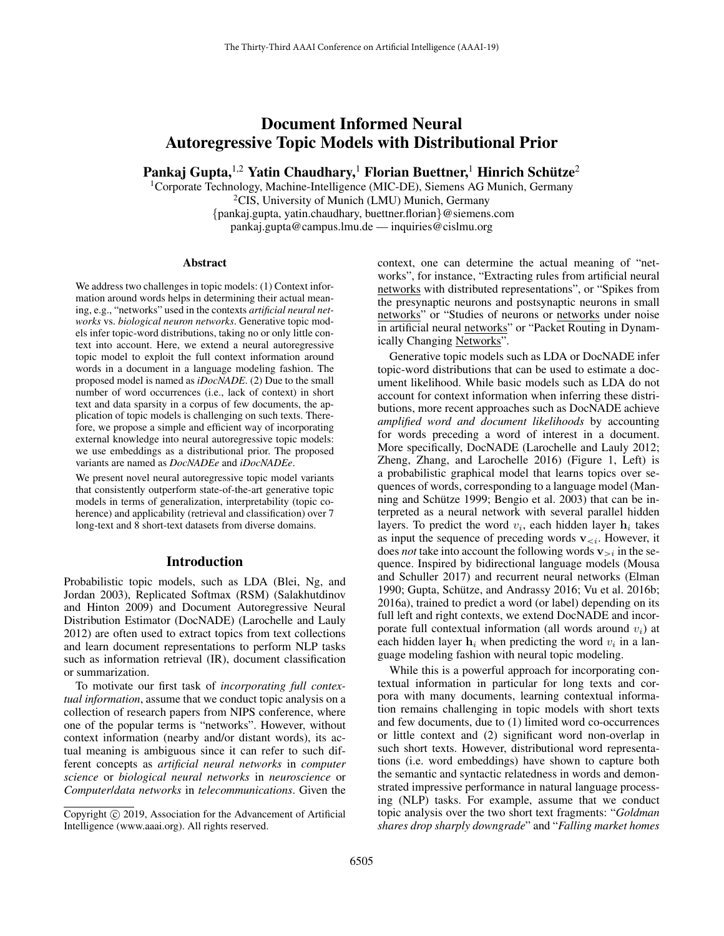# Document Informed Neural Autoregressive Topic Models with Distributional Prior

Pankaj Gupta, $^{1,2}$  Yatin Chaudhary, $^{1}$  Florian Buettner, $^{1}$  Hinrich Schütze $^{2}$ 

<sup>1</sup>Corporate Technology, Machine-Intelligence (MIC-DE), Siemens AG Munich, Germany <sup>2</sup>CIS, University of Munich (LMU) Munich, Germany {pankaj.gupta, yatin.chaudhary, buettner.florian}@siemens.com pankaj.gupta@campus.lmu.de — inquiries@cislmu.org

#### Abstract

We address two challenges in topic models: (1) Context information around words helps in determining their actual meaning, e.g., "networks" used in the contexts *artificial neural networks* vs. *biological neuron networks*. Generative topic models infer topic-word distributions, taking no or only little context into account. Here, we extend a neural autoregressive topic model to exploit the full context information around words in a document in a language modeling fashion. The proposed model is named as *iDocNADE*. (2) Due to the small number of word occurrences (i.e., lack of context) in short text and data sparsity in a corpus of few documents, the application of topic models is challenging on such texts. Therefore, we propose a simple and efficient way of incorporating external knowledge into neural autoregressive topic models: we use embeddings as a distributional prior. The proposed variants are named as *DocNADEe* and *iDocNADEe*.

We present novel neural autoregressive topic model variants that consistently outperform state-of-the-art generative topic models in terms of generalization, interpretability (topic coherence) and applicability (retrieval and classification) over 7 long-text and 8 short-text datasets from diverse domains.

#### Introduction

Probabilistic topic models, such as LDA (Blei, Ng, and Jordan 2003), Replicated Softmax (RSM) (Salakhutdinov and Hinton 2009) and Document Autoregressive Neural Distribution Estimator (DocNADE) (Larochelle and Lauly 2012) are often used to extract topics from text collections and learn document representations to perform NLP tasks such as information retrieval (IR), document classification or summarization.

To motivate our first task of *incorporating full contextual information*, assume that we conduct topic analysis on a collection of research papers from NIPS conference, where one of the popular terms is "networks". However, without context information (nearby and/or distant words), its actual meaning is ambiguous since it can refer to such different concepts as *artificial neural networks* in *computer science* or *biological neural networks* in *neuroscience* or *Computer*/*data networks* in *telecommunications*. Given the

context, one can determine the actual meaning of "networks", for instance, "Extracting rules from artificial neural networks with distributed representations", or "Spikes from the presynaptic neurons and postsynaptic neurons in small networks" or "Studies of neurons or networks under noise in artificial neural networks" or "Packet Routing in Dynamically Changing Networks".

Generative topic models such as LDA or DocNADE infer topic-word distributions that can be used to estimate a document likelihood. While basic models such as LDA do not account for context information when inferring these distributions, more recent approaches such as DocNADE achieve *amplified word and document likelihoods* by accounting for words preceding a word of interest in a document. More specifically, DocNADE (Larochelle and Lauly 2012; Zheng, Zhang, and Larochelle 2016) (Figure 1, Left) is a probabilistic graphical model that learns topics over sequences of words, corresponding to a language model (Manning and Schütze 1999; Bengio et al. 2003) that can be interpreted as a neural network with several parallel hidden layers. To predict the word  $v_i$ , each hidden layer  $\mathbf{h}_i$  takes as input the sequence of preceding words  $v_{\le i}$ . However, it does *not* take into account the following words  $v_{\geq i}$  in the sequence. Inspired by bidirectional language models (Mousa and Schuller 2017) and recurrent neural networks (Elman 1990; Gupta, Schütze, and Andrassy 2016; Vu et al. 2016b; 2016a), trained to predict a word (or label) depending on its full left and right contexts, we extend DocNADE and incorporate full contextual information (all words around  $v_i$ ) at each hidden layer  $h_i$  when predicting the word  $v_i$  in a language modeling fashion with neural topic modeling.

While this is a powerful approach for incorporating contextual information in particular for long texts and corpora with many documents, learning contextual information remains challenging in topic models with short texts and few documents, due to (1) limited word co-occurrences or little context and (2) significant word non-overlap in such short texts. However, distributional word representations (i.e. word embeddings) have shown to capture both the semantic and syntactic relatedness in words and demonstrated impressive performance in natural language processing (NLP) tasks. For example, assume that we conduct topic analysis over the two short text fragments: "*Goldman shares drop sharply downgrade*" and "*Falling market homes*

Copyright © 2019, Association for the Advancement of Artificial Intelligence (www.aaai.org). All rights reserved.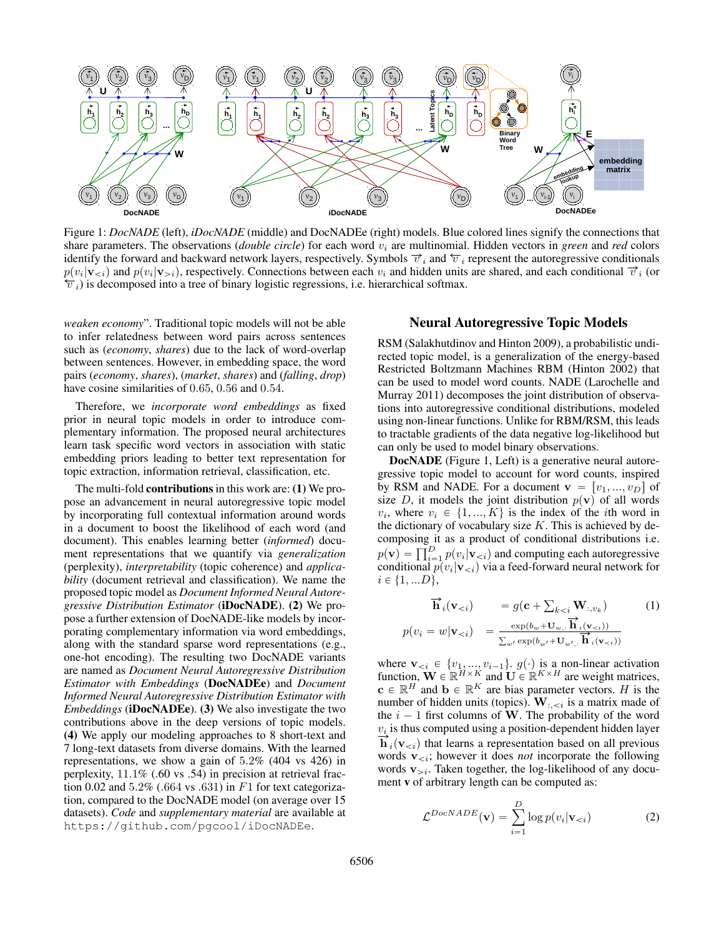

Figure 1: *DocNADE* (left), *iDocNADE* (middle) and DocNADEe (right) models. Blue colored lines signify the connections that share parameters. The observations (*double circle*) for each word v<sup>i</sup> are multinomial. Hidden vectors in *green* and *red* colors identify the forward and backward network layers, respectively. Symbols  $\vec{v}_i$  and  $\vec{v}_i$  represent the autoregressive conditionals  $p(v_i|\mathbf{v}_{\le i})$  and  $p(v_i|\mathbf{v}_{\ge i})$ , respectively. Connections between each  $v_i$  and hidden units are shared, and each conditional  $\vec{v}_i$  (or  $\overleftarrow{v}_i$ ) is decomposed into a tree of binary logistic regressions, i.e. hierarchical softmax.

*weaken economy*". Traditional topic models will not be able to infer relatedness between word pairs across sentences such as (*economy*, *shares*) due to the lack of word-overlap between sentences. However, in embedding space, the word pairs (*economy*, *shares*), (*market*, *shares*) and (*falling*, *drop*) have cosine similarities of 0.65, 0.56 and 0.54.

Therefore, we *incorporate word embeddings* as fixed prior in neural topic models in order to introduce complementary information. The proposed neural architectures learn task specific word vectors in association with static embedding priors leading to better text representation for topic extraction, information retrieval, classification, etc.

The multi-fold **contributions** in this work are: (1) We propose an advancement in neural autoregressive topic model by incorporating full contextual information around words in a document to boost the likelihood of each word (and document). This enables learning better (*informed*) document representations that we quantify via *generalization* (perplexity), *interpretability* (topic coherence) and *applicability* (document retrieval and classification). We name the proposed topic model as *Document Informed Neural Autoregressive Distribution Estimator* (iDocNADE). (2) We propose a further extension of DocNADE-like models by incorporating complementary information via word embeddings, along with the standard sparse word representations (e.g., one-hot encoding). The resulting two DocNADE variants are named as *Document Neural Autoregressive Distribution Estimator with Embeddings* (DocNADEe) and *Document Informed Neural Autoregressive Distribution Estimator with Embeddings* (iDocNADEe). (3) We also investigate the two contributions above in the deep versions of topic models. (4) We apply our modeling approaches to 8 short-text and 7 long-text datasets from diverse domains. With the learned representations, we show a gain of 5.2% (404 vs 426) in perplexity, 11.1% (.60 vs .54) in precision at retrieval fraction 0.02 and  $5.2\%$  (.664 vs .631) in  $F1$  for text categorization, compared to the DocNADE model (on average over 15 datasets). *Code* and *supplementary material* are available at https://github.com/pgcool/iDocNADEe.

### Neural Autoregressive Topic Models

RSM (Salakhutdinov and Hinton 2009), a probabilistic undirected topic model, is a generalization of the energy-based Restricted Boltzmann Machines RBM (Hinton 2002) that can be used to model word counts. NADE (Larochelle and Murray 2011) decomposes the joint distribution of observations into autoregressive conditional distributions, modeled using non-linear functions. Unlike for RBM/RSM, this leads to tractable gradients of the data negative log-likelihood but can only be used to model binary observations.

DocNADE (Figure 1, Left) is a generative neural autoregressive topic model to account for word counts, inspired by RSM and NADE. For a document  $\mathbf{v} = [v_1, ..., v_D]$  of size D, it models the joint distribution  $p(\mathbf{v})$  of all words  $v_i$ , where  $v_i \in \{1, ..., K\}$  is the index of the *i*th word in the dictionary of vocabulary size  $K$ . This is achieved by decomposing it as a product of conditional distributions i.e. composing it as a product or conditional distributions i.e.<br>  $p(\mathbf{v}) = \prod_{i=1}^{D} p(v_i | \mathbf{v}_{\le i})$  and computing each autoregressive conditional  $p(v_i|\mathbf{v}_{< i})$  via a feed-forward neural network for  $i \in \{1, ...D\},\$ 

$$
\overrightarrow{\mathbf{h}}_{i}(\mathbf{v}_{< i}) = g(\mathbf{c} + \sum_{k < i} \mathbf{W}_{:, v_k}) \tag{1}
$$
\n
$$
p(v_i = w | \mathbf{v}_{< i}) = \frac{\exp(b_w + \mathbf{U}_{w,:} \overrightarrow{\mathbf{h}}_i(\mathbf{v}_{< i}))}{\sum_{w'} \exp(b_{w'} + \mathbf{U}_{w',:} \overrightarrow{\mathbf{h}}_i(\mathbf{v}_{< i}))}
$$

where  $\mathbf{v}_{\leq i} \in \{v_1, ..., v_{i-1}\}\text{. } g(\cdot)$  is a non-linear activation function,  $\mathbf{W} \in \mathbb{R}^{\tilde{H} \times K}$  and  $\mathbf{U} \in \mathbb{R}^{K \times H}$  are weight matrices,  $\mathbf{c} \in \mathbb{R}^H$  and  $\mathbf{b} \in \mathbb{R}^K$  are bias parameter vectors. H is the number of hidden units (topics).  $\mathbf{W}_{:,-i}$  is a matrix made of the  $i - 1$  first columns of W. The probability of the word  $v_i$  is thus computed using a position-dependent hidden layer  $\mathbf{h}'_i(\mathbf{v}_{\leq i})$  that learns a representation based on all previous words  $v_{\leq i}$ ; however it does *not* incorporate the following words  $\mathbf{v}_{>i}$ . Taken together, the log-likelihood of any document v of arbitrary length can be computed as:

$$
\mathcal{L}^{DocNADE}(\mathbf{v}) = \sum_{i=1}^{D} \log p(v_i | \mathbf{v}_{&i})
$$
 (2)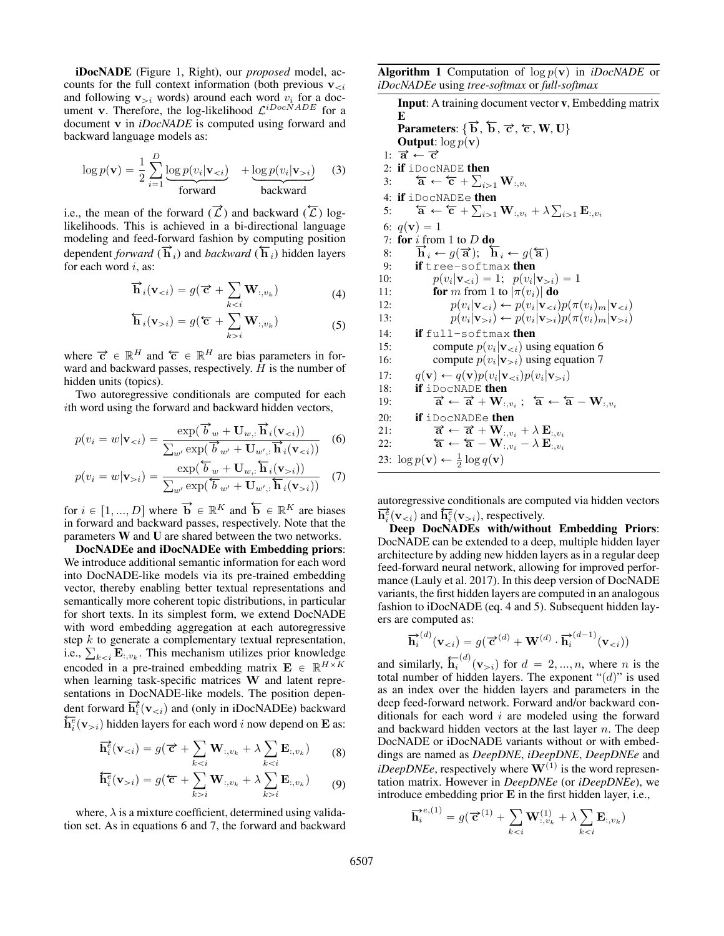iDocNADE (Figure 1, Right), our *proposed* model, accounts for the full context information (both previous  $v_{\leq i}$ ) and following  $v_{\geq i}$  words) around each word  $v_i$  for a document v. Therefore, the log-likelihood  $\mathcal{L}^{iDocNADE}$  for a document v in *iDocNADE* is computed using forward and backward language models as:

$$
\log p(\mathbf{v}) = \frac{1}{2} \sum_{i=1}^{D} \underbrace{\log p(v_i | \mathbf{v}_{< i})}_{\text{forward}} + \underbrace{\log p(v_i | \mathbf{v}_{> i})}_{\text{backward}} \quad (3)
$$

i.e., the mean of the forward  $(\overline{\mathcal{L}})$  and backward  $(\overline{\mathcal{L}})$  loglikelihoods. This is achieved in a bi-directional language modeling and feed-forward fashion by computing position dependent *forward* ( $\overline{h}_i$ ) and *backward* ( $\overline{h}_i$ ) hidden layers for each word  $i$ , as:

$$
\overrightarrow{\mathbf{h}}_{i}(\mathbf{v}_{< i}) = g(\overrightarrow{\mathbf{c}} + \sum_{k < i} \mathbf{W}_{:, v_k}) \tag{4}
$$

$$
\overleftarrow{\mathbf{h}}_{i}(\mathbf{v}_{>i}) = g(\overleftarrow{\mathbf{c}} + \sum_{k>i} \mathbf{W}_{:,v_k})
$$
\n(5)

where  $\vec{\mathbf{c}} \in \mathbb{R}^H$  and  $\hat{\mathbf{c}} \in \mathbb{R}^H$  are bias parameters in forward and backward passes, respectively.  $\hat{H}$  is the number of hidden units (topics).

Two autoregressive conditionals are computed for each ith word using the forward and backward hidden vectors,

$$
p(v_i = w | \mathbf{v}_{< i}) = \frac{\exp(\overrightarrow{b}_w + \mathbf{U}_{w,:} \overrightarrow{\mathbf{h}}_i(\mathbf{v}_{< i}))}{\sum_{w'} \exp(\overrightarrow{b}_{w'} + \mathbf{U}_{w',,:} \overrightarrow{\mathbf{h}}_i(\mathbf{v}_{< i}))}
$$
(6)

$$
p(v_i = w | \mathbf{v}_{>i}) = \frac{\exp(\overleftarrow{b}_w + \mathbf{U}_{w,:} \overleftarrow{h}_i(\mathbf{v}_{>i}))}{\sum_{w'} \exp(\overleftarrow{b}_{w'} + \mathbf{U}_{w',:} \overleftarrow{h}_i(\mathbf{v}_{>i}))}
$$
 (7)

for  $i \in [1, ..., D]$  where  $\overrightarrow{b} \in \mathbb{R}^K$  and  $\overleftarrow{b} \in \mathbb{R}^K$  are biases in forward and backward passes, respectively. Note that the parameters W and U are shared between the two networks.

DocNADEe and iDocNADEe with Embedding priors: We introduce additional semantic information for each word into DocNADE-like models via its pre-trained embedding vector, thereby enabling better textual representations and semantically more coherent topic distributions, in particular for short texts. In its simplest form, we extend DocNADE with word embedding aggregation at each autoregressive step  $k$  to generate a complementary textual representation, step k to generate a complementary textual representation,<br>i.e.,  $\sum_{k < i} \mathbf{E}_{:,v_k}$ . This mechanism utilizes prior knowledge encoded in a pre-trained embedding matrix  $\mathbf{E} \in \mathbb{R}^{H \times K}$ when learning task-specific matrices W and latent representations in DocNADE-like models. The position dependent forward  $\overrightarrow{h_i^e}$ dent forward  $\mathbf{h}_i^e(\mathbf{v}_{< i})$  and (only in iDocNADEe) backward  $\overleftarrow{\mathbf{h}}_i^e(\mathbf{v}_{> i})$  hidden layers for each word *i* now depend on **E** as:

$$
\overrightarrow{\mathbf{h}_{i}^{e}}(\mathbf{v}_{(8)
$$

$$
\overleftarrow{\mathbf{h}_i^e}(\mathbf{v}_{>i}) = g(\mathbf{\hat{c}} + \sum_{k>i} \mathbf{W}_{:,v_k} + \lambda \sum_{k>i} \mathbf{E}_{:,v_k})
$$
 (9)

where,  $\lambda$  is a mixture coefficient, determined using validation set. As in equations 6 and 7, the forward and backward

**Algorithm 1** Computation of  $\log p(\mathbf{v})$  in *iDocNADE* or *iDocNADEe* using *tree-softmax* or *full-softmax*

Input: A training document vector v, Embedding matrix E **Parameters**:  $\{\overrightarrow{b}, \overleftarrow{b}, \overrightarrow{c}, \overleftarrow{c}, W, U\}$ **Output:**  $\log p(\mathbf{v})$ 1:  $\overrightarrow{a} \leftarrow \overrightarrow{c}$ 2: if iDocNADE then 3:  $\overleftarrow{\mathbf{a}} \leftarrow \overleftarrow{\mathbf{c}} + \sum_{i>1} \mathbf{W}_{:,v_i}$ 4: if iDocNADEe then 5:  $\overleftarrow{\mathbf{a}} \leftarrow \overleftarrow{\mathbf{c}} + \sum_{i>1} \mathbf{W}_{:,v_i} + \lambda$  $_{i>1}$   $\mathbf{E}_{:,v_i}$ 6:  $q(\mathbf{v}) = 1$ 7: for  $i$  from 1 to  $D$  do 8:  $\overrightarrow{h}_i \leftarrow g(\overrightarrow{a})$ ;  $\overleftarrow{h}_i \leftarrow g(\overleftarrow{a})$ 9: if tree-softmax then 10:  $p(v_i | \mathbf{v}_{\le i}) = 1; \ p(v_i | \mathbf{v}_{> i}) = 1$ 11: **for** m from 1 to  $|\pi(v_i)|$  **do** 12:  $p(v_i|\mathbf{v}_{\le i}) \leftarrow p(v_i|\mathbf{v}_{\le i})p(\pi(v_i)_m|\mathbf{v}_{\le i})$ 13:  $p(v_i|\mathbf{v}_{>i}) \leftarrow p(v_i|\mathbf{v}_{>i})p(\pi(v_i)_m|\mathbf{v}_{>i})$ 14: **if** full-softmax then 15: compute  $p(v_i | v_{\le i})$  using equation 6 16: compute  $p(v_i | v_{>i})$  using equation 7 17:  $q(\mathbf{v}) \leftarrow q(\mathbf{v}) p(v_i | \mathbf{v}_{< i}) p(v_i | \mathbf{v}_{> i})$ 18: if iDocNADE then 19:  $\overrightarrow{a} \leftarrow \overrightarrow{a} + W_{:,v_i}$ ;  $\overleftarrow{a} \leftarrow \overleftarrow{a} - W_{:,v_i}$ 20: if iDocNADEe then 21:  $\overrightarrow{a} \leftarrow \overrightarrow{a} + W_{:,v_i} + \lambda E_{:,v_i}$ <br>
22:  $\overleftarrow{a} \leftarrow \overleftarrow{a} - W_{:,v_i} - \lambda E_{:,v_i}$  $\overleftarrow{\mathbf{a}}\leftarrow\overleftarrow{\mathbf{a}}-\mathbf{W}_{:,v_i} \leftarrow \lambda\ \mathbf{E}_{:,v_i}$ 23:  $\log p(\mathbf{v}) \leftarrow \frac{1}{2} \log q(\mathbf{v})$ 

autoregressive conditionals are computed via hidden vectors  $\overline{h_i^e}(v_{\le i})$  and  $\overline{h_i^e}(v_{> i})$ , respectively.

Deep DocNADEs with/without Embedding Priors: DocNADE can be extended to a deep, multiple hidden layer architecture by adding new hidden layers as in a regular deep feed-forward neural network, allowing for improved performance (Lauly et al. 2017). In this deep version of DocNADE variants, the first hidden layers are computed in an analogous fashion to iDocNADE (eq. 4 and 5). Subsequent hidden layers are computed as:

$$
\overrightarrow{\mathbf{h}}_{i}^{(d)}(\mathbf{v}_{&i}) = g(\overrightarrow{\mathbf{c}}^{(d)} + \mathbf{W}^{(d)} \cdot \overrightarrow{\mathbf{h}}_{i}^{(d-1)}(\mathbf{v}_{&i}))
$$

and similarly,  $\mathbf{\hat{h}}_i^{(d)}(\mathbf{v}_{>i})$  for  $d = 2, ..., n$ , where n is the total number of hidden layers. The exponent " $(d)$ " is used as an index over the hidden layers and parameters in the deep feed-forward network. Forward and/or backward conditionals for each word  $i$  are modeled using the forward and backward hidden vectors at the last layer  $n$ . The deep DocNADE or iDocNADE variants without or with embeddings are named as *DeepDNE*, *iDeepDNE*, *DeepDNEe* and *iDeepDNEe*, respectively where  $W^{(1)}$  is the word representation matrix. However in *DeepDNEe* (or *iDeepDNEe*), we introduce embedding prior  $\bf{E}$  in the first hidden layer, i.e.,

$$
\overrightarrow{\mathbf{h}}_i^{e,(1)} = g(\overrightarrow{\mathbf{c}}^{(1)} + \sum_{k < i} \mathbf{W}_{:,v_k}^{(1)} + \lambda \sum_{k < i} \mathbf{E}_{:,v_k})
$$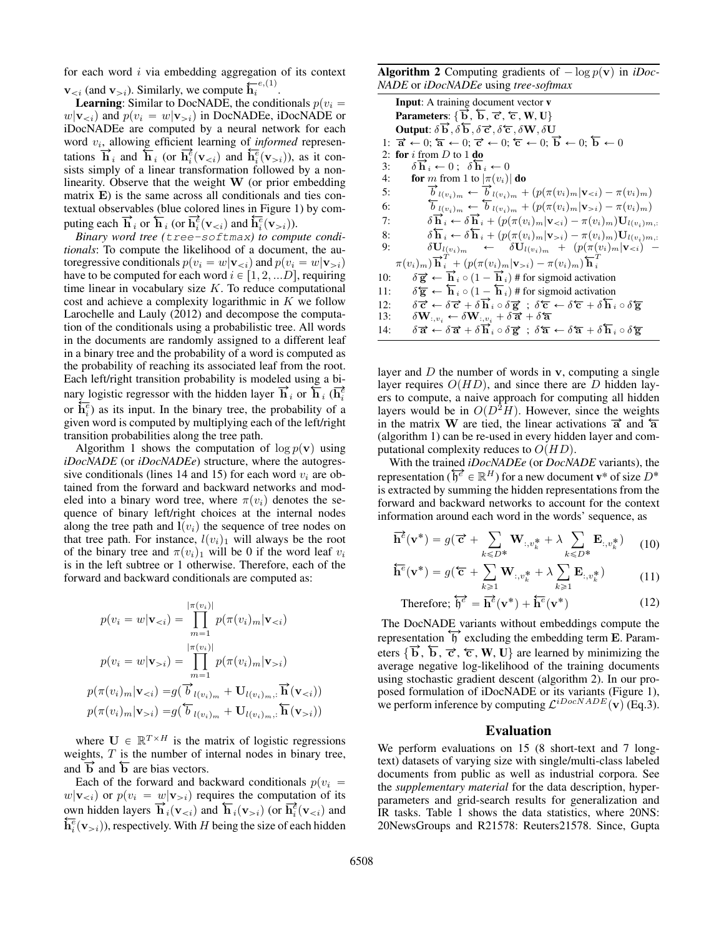for each word  $i$  via embedding aggregation of its context  $\mathbf{v}_{< i}$  (and  $\mathbf{v}_{> i}$ ). Similarly, we compute  $\overleftarrow{\mathbf{h}}_i^{e,(1)}$ .

**Learning:** Similar to DocNADE, the conditionals  $p(v_i =$  $w|\mathbf{v}_{\leq i}\rangle$  and  $p(v_i = w|\mathbf{v}_{>i}\rangle$  in DocNADEe, iDocNADE or iDocNADEe are computed by a neural network for each word  $v_i$ , allowing efficient learning of *informed* representations  $\overrightarrow{\mathbf{h}}_i$  and  $\overleftarrow{\mathbf{h}}_i$  (or  $\overrightarrow{\mathbf{h}}_i^{\overrightarrow{e}}(\mathbf{v}_{\le i})$  and  $\overleftarrow{\mathbf{h}}_i^{\overrightarrow{e}}(\mathbf{v}_{>i})$ ), as it consists simply of a linear transformation followed by a nonlinearity. Observe that the weight W (or prior embedding matrix E) is the same across all conditionals and ties contextual observables (blue colored lines in Figure 1) by computing each  $\overrightarrow{h}_i$  or  $\overleftarrow{h}_i$  (or  $\overrightarrow{h}_i^e(\mathbf{v}_{< i})$  and  $\overleftarrow{h}_i^e(\mathbf{v}_{> i})$ ).

*Binary word tree (*tree-softmax*) to compute conditionals*: To compute the likelihood of a document, the autoregressive conditionals  $p(v_i = w|\mathbf{v}_{\le i})$  and  $p(v_i = w|\mathbf{v}_{\ge i})$ have to be computed for each word  $i \in [1, 2, ...D]$ , requiring time linear in vocabulary size  $K$ . To reduce computational cost and achieve a complexity logarithmic in K we follow Larochelle and Lauly (2012) and decompose the computation of the conditionals using a probabilistic tree. All words in the documents are randomly assigned to a different leaf in a binary tree and the probability of a word is computed as the probability of reaching its associated leaf from the root. Each left/right transition probability is modeled using a binary logistic regressor with the hidden layer  $\overrightarrow{h}_i$  or  $\overleftarrow{h}_i$  ( $\overrightarrow{h}_i^e$ ) or  $\overline{h_i^e}$  as its input. In the binary tree, the probability of a given word is computed by multiplying each of the left/right transition probabilities along the tree path.

Algorithm 1 shows the computation of  $\log p(\mathbf{v})$  using *iDocNADE* (or *iDocNADEe*) structure, where the autogressive conditionals (lines 14 and 15) for each word  $v_i$  are obtained from the forward and backward networks and modeled into a binary word tree, where  $\pi(v_i)$  denotes the sequence of binary left/right choices at the internal nodes along the tree path and  $\mathbf{l}(v_i)$  the sequence of tree nodes on that tree path. For instance,  $l(v_i)_1$  will always be the root of the binary tree and  $\pi(v_i)_1$  will be 0 if the word leaf  $v_i$ is in the left subtree or 1 otherwise. Therefore, each of the forward and backward conditionals are computed as:

$$
p(v_i = w | \mathbf{v}_{< i}) = \prod_{m=1}^{|\pi(v_i)|} p(\pi(v_i)_m | \mathbf{v}_{< i})
$$

$$
p(v_i = w | \mathbf{v}_{> i}) = \prod_{m=1}^{|\pi(v_i)|} p(\pi(v_i)_m | \mathbf{v}_{> i})
$$

$$
p(\pi(v_i)_m | \mathbf{v}_{< i}) = g(\overrightarrow{b}_{l(v_i)_m} + \mathbf{U}_{l(v_i)_m}; \overrightarrow{h}(\mathbf{v}_{< i}))
$$

$$
p(\pi(v_i)_m | \mathbf{v}_{> i}) = g(\overleftarrow{b}_{l(v_i)_m} + \mathbf{U}_{l(v_i)_m}; \overleftarrow{h}(\mathbf{v}_{> i}))
$$

where  $U \in \mathbb{R}^{T \times H}$  is the matrix of logistic regressions weights,  $T$  is the number of internal nodes in binary tree, and  $\overrightarrow{b}$  and  $\overleftarrow{b}$  are bias vectors.

Each of the forward and backward conditionals  $p(v_i)$  $w|\mathbf{v}_{\leq i}|$  or  $p(v_i = w|\mathbf{v}_{>i})$  requires the computation of its own hidden layers  $\overrightarrow{\mathbf{h}}_i(\mathbf{v}_{\le i})$  and  $\overleftarrow{\mathbf{h}}_i(\mathbf{v}_{>i})$  (or  $\overrightarrow{\mathbf{h}}_i^e$ ) own hidden layers  $\mathbf{h}_i(\mathbf{v}_{< i})$  and  $\mathbf{h}_i(\mathbf{v}_{> i})$  (or  $\mathbf{h}_i^e(\mathbf{v}_{< i})$ ) and  $\overline{\mathbf{h}}_i^e(\mathbf{v}_{> i})$ ), respectively. With *H* being the size of each hidden

Algorithm 2 Computing gradients of  $-\log p(\mathbf{v})$  in *iDoc-NADE* or *iDocNADEe* using *tree-softmax*

|     | <b>Input:</b> A training document vector <b>v</b>                                                                                                                                                                                                                                                                 |
|-----|-------------------------------------------------------------------------------------------------------------------------------------------------------------------------------------------------------------------------------------------------------------------------------------------------------------------|
|     | Parameters: $\{\overrightarrow{b}, \overleftarrow{b}, \overrightarrow{c}, \overleftarrow{c}, W, U\}$                                                                                                                                                                                                              |
|     | <b>Output:</b> $\delta \vec{b}$ , $\delta \vec{b}$ , $\delta \vec{c}$ , $\delta \vec{c}$ , $\delta W$ , $\delta U$                                                                                                                                                                                                |
|     | 1: $\vec{a} \leftarrow 0$ ; $\vec{a} \leftarrow 0$ ; $\vec{c} \leftarrow 0$ ; $\vec{c} \leftarrow 0$ ; $\vec{b} \leftarrow 0$ ; $\vec{b} \leftarrow 0$                                                                                                                                                            |
| 2:  | <b>for</b> i from D to 1 <b>do</b>                                                                                                                                                                                                                                                                                |
| 3:  | $\delta \vec{\mathbf{h}}_i \leftarrow 0$ ; $\delta \vec{\mathbf{h}}_i \leftarrow 0$                                                                                                                                                                                                                               |
| 4:  | for m from 1 to $ \pi(v_i) $ do                                                                                                                                                                                                                                                                                   |
| 5:  | $\overrightarrow{b}_{l(v_i)_m} \leftarrow \overrightarrow{b}_{l(v_i)_m} + (p(\pi(v_i)_m   \mathbf{v}_{< i}) - \pi(v_i)_m)$                                                                                                                                                                                        |
| 6:  | $\overleftarrow{b}_{l(v_i)_m} \leftarrow \overleftarrow{b}_{l(v_i)_m} + (p(\pi(v_i)_m   \mathbf{v}_{>i}) - \pi(v_i)_m)$                                                                                                                                                                                           |
| 7:  | $\delta \overrightarrow{\mathbf{h}}_i \leftarrow \delta \overrightarrow{\mathbf{h}}_i + (p(\pi(v_i)_m   \mathbf{v}_{\leq i}) - \pi(v_i)_m) \mathbf{U}_{l(v_i)m}$                                                                                                                                                  |
| 8:  | $\delta \overleftarrow{\mathbf{h}}_i \leftarrow \delta \overleftarrow{\mathbf{h}}_i + (p(\pi(v_i)_m   \mathbf{v}_{>i}) - \pi(v_i)_m) \mathbf{U}_{l(v_i)m,:}$                                                                                                                                                      |
| 9:  | $\delta \mathbf{U}_{l(v_i)_m} \quad \leftarrow \quad \delta \mathbf{U}_{l(v_i)_m} + (p(\pi(v_i)_m   \mathbf{v}_{\leq i}) -$                                                                                                                                                                                       |
|     | $\pi(v_i)_m \overrightarrow{\mathbf{h}}_i^T + (p(\pi(v_i)_m   \mathbf{v}_{>i}) - \pi(v_i)_m) \overleftarrow{\mathbf{h}}_i^T$                                                                                                                                                                                      |
| 10: | $\delta \vec{\mathbf{g}} \leftarrow \vec{\mathbf{h}}_i \circ (1 - \vec{\mathbf{h}}_i)$ # for sigmoid activation                                                                                                                                                                                                   |
| 11: | $\delta \overleftarrow{\mathbf{g}} \leftarrow \overleftarrow{\mathbf{h}}_i \circ (1 - \overleftarrow{\mathbf{h}}_i)$ # for sigmoid activation                                                                                                                                                                     |
| 12: | $\delta \vec{c} \leftarrow \delta \vec{c} + \delta \vec{h}_i \circ \delta \vec{g}$ ; $\delta \vec{c} \leftarrow \delta \vec{c} + \delta \vec{h}_i \circ \delta \vec{g}$                                                                                                                                           |
| 13: | $\delta \mathbf{W}_{:,v_i} \leftarrow \delta \mathbf{W}_{:,v_i} + \delta \overrightarrow{\mathbf{a}} + \delta \overleftarrow{\mathbf{a}}$                                                                                                                                                                         |
| 14: | $\delta\overrightarrow{\mathbf{a}}\leftarrow\delta\overrightarrow{\mathbf{a}}+\delta\overrightarrow{\mathbf{h}}_i\circ\delta\overrightarrow{\mathbf{g}}\,\,;\,\delta\overleftarrow{\mathbf{a}}\leftarrow\delta\overleftarrow{\mathbf{a}}+\delta\overleftarrow{\mathbf{h}}_i\circ\delta\overleftarrow{\mathbf{g}}$ |

layer and  $D$  the number of words in  $v$ , computing a single layer requires  $O(HD)$ , and since there are D hidden layers to compute, a naive approach for computing all hidden layers would be in  $O(D^2H)$ . However, since the weights in the matrix W are tied, the linear activations  $\vec{a}$  and  $\vec{a}$ (algorithm 1) can be re-used in every hidden layer and computational complexity reduces to  $O(HD)$ .

With the trained *iDocNADEe* (or *DocNADE* variants), the representation ( $\overline{b}^e \in \mathbb{R}^H$ ) for a new document  $\mathbf{v}^*$  of size  $D^*$ is extracted by summing the hidden representations from the forward and backward networks to account for the context information around each word in the words' sequence, as

$$
\overrightarrow{\mathbf{h}^{e}}(\mathbf{v}^{*}) = g(\overrightarrow{\mathbf{c}} + \sum_{k \leq D^{*}} \mathbf{W}_{:,v_{k}^{*}} + \lambda \sum_{k \leq D^{*}} \mathbf{E}_{:,v_{k}^{*}})
$$
(10)

$$
\overleftarrow{\mathbf{h}^e}(\mathbf{v}^*) = g(\overleftarrow{\mathbf{c}} + \sum_{k \geq 1} \mathbf{W}_{:,v_k^*} + \lambda \sum_{k \geq 1} \mathbf{E}_{:,v_k^*})
$$
(11)

Therefore; 
$$
\overleftrightarrow{\mathbf{h}}^e = \overrightarrow{\mathbf{h}}^e(\mathbf{v}^*) + \overleftarrow{\mathbf{h}}^e(\mathbf{v}^*)
$$
 (12)

The DocNADE variants without embeddings compute the representation  $\overrightarrow{h}$  excluding the embedding term **E**. Parameters  $\{\vec{b}, \vec{b}, \vec{\tau}, \vec{\tau}, W, U\}$  are learned by minimizing the average negative log-likelihood of the training documents using stochastic gradient descent (algorithm 2). In our proposed formulation of iDocNADE or its variants (Figure 1), we perform inference by computing  $\mathcal{L}^{iDocNADE}(\mathbf{v})$  (Eq.3).

#### Evaluation

We perform evaluations on 15 (8 short-text and 7 longtext) datasets of varying size with single/multi-class labeled documents from public as well as industrial corpora. See the *supplementary material* for the data description, hyperparameters and grid-search results for generalization and IR tasks. Table 1 shows the data statistics, where 20NS: 20NewsGroups and R21578: Reuters21578. Since, Gupta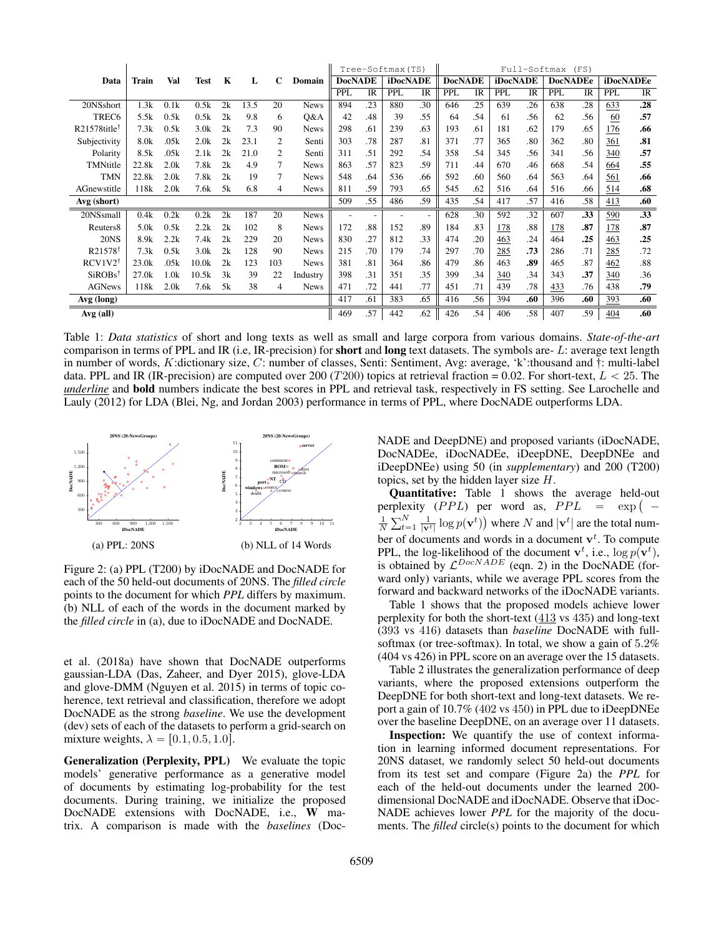|                                 |              |      |             |    | Tree-Softmax(TS) |     |             |                | Full-Softmax<br>(FS) |                 |     |                |             |                 |           |                 |           |                  |           |
|---------------------------------|--------------|------|-------------|----|------------------|-----|-------------|----------------|----------------------|-----------------|-----|----------------|-------------|-----------------|-----------|-----------------|-----------|------------------|-----------|
| Data                            | <b>Train</b> | Val  | <b>Test</b> | K  | L                | C   | Domain      | <b>DocNADE</b> |                      | <b>iDocNADE</b> |     | <b>DocNADE</b> |             | <b>iDocNADE</b> |           | <b>DocNADEe</b> |           | <b>iDocNADEe</b> |           |
|                                 |              |      |             |    |                  |     |             | <b>PPL</b>     | <b>IR</b>            | <b>PPL</b>      | IR  | <b>PPL</b>     | $_{\rm IR}$ | <b>PPL</b>      | <b>IR</b> | <b>PPL</b>      | <b>IR</b> | <b>PPL</b>       | <b>IR</b> |
| 20NSshort                       | 1.3k         | 0.1k | 0.5k        | 2k | 13.5             | 20  | <b>News</b> | 894            | .23                  | 880             | .30 | 646            | .25         | 639             | .26       | 638             | .28       | 633              | .28       |
| TREC <sub>6</sub>               | 5.5k         | 0.5k | 0.5k        | 2k | 9.8              | 6   | Q&A         | 42             | .48                  | 39              | .55 | 64             | .54         | 61              | .56       | 62              | .56       | 60               | .57       |
| $R21578$ title <sup>1</sup>     | 7.3k         | 0.5k | 3.0k        | 2k | 7.3              | 90  | <b>News</b> | 298            | .61                  | 239             | .63 | 193            | .61         | 181             | .62       | 179             | .65       | 176              | .66       |
| Subjectivity                    | 8.0k         | .05k | 2.0k        | 2k | 23.1             | 2   | Senti       | 303            | .78                  | 287             | .81 | 371            | .77         | 365             | .80       | 362             | .80       | 361              | .81       |
| Polarity                        | 8.5k         | .05k | 2.1k        | 2k | 21.0             | 2   | Senti       | 311            | .51                  | 292             | .54 | 358            | .54         | 345             | .56       | 341             | .56       | 340              | .57       |
| TMNtitle                        | 22.8k        | 2.0k | 7.8k        | 2k | 4.9              |     | <b>News</b> | 863            | .57                  | 823             | .59 | 711            | .44         | 670             | .46       | 668             | .54       | 664              | .55       |
| <b>TMN</b>                      | 22.8k        | 2.0k | 7.8k        | 2k | 19               |     | <b>News</b> | 548            | .64                  | 536             | .66 | 592            | .60         | 560             | .64       | 563             | .64       | 561              | .66       |
| AGnewstitle                     | 118k         | 2.0k | 7.6k        | 5k | 6.8              | 4   | <b>News</b> | 811            | .59                  | 793             | .65 | 545            | .62         | 516             | .64       | 516             | .66       | 514              | .68       |
| Avg (short)                     |              |      |             |    |                  |     |             | 509            | .55                  | 486             | .59 | 435            | .54         | 417             | .57       | 416             | .58       | 413              | .60       |
| 20NSsmall                       | 0.4k         | 0.2k | 0.2k        | 2k | 187              | 20  | <b>News</b> |                |                      |                 |     | 628            | .30         | 592             | .32       | 607             | .33       | 590              | .33       |
| Reuters <sub>8</sub>            | 5.0k         | 0.5k | 2.2k        | 2k | 102              | 8   | <b>News</b> | 172            | .88                  | 152             | .89 | 184            | .83         | 178             | .88       | 178             | .87       | 178              | .87       |
| <b>20NS</b>                     | 8.9k         | 2.2k | 7.4k        | 2k | 229              | 20  | <b>News</b> | 830            | .27                  | 812             | .33 | 474            | .20         | 463             | .24       | 464             | .25       | 463              | .25       |
| R <sub>21578</sub> <sup>†</sup> | 7.3k         | 0.5k | 3.0k        | 2k | 128              | 90  | <b>News</b> | 215            | .70                  | 179             | .74 | 297            | .70         | 285             | .73       | 286             | .71       | 285              | .72       |
| $RCV1V2^{\dagger}$              | 23.0k        | .05k | 10.0k       | 2k | 123              | 103 | <b>News</b> | 381            | .81                  | 364             | .86 | 479            | .86         | 463             | .89       | 465             | .87       | 462              | .88       |
| $SiROBs$ <sup>1</sup>           | 27.0k        | 1.0k | 10.5k       | 3k | 39               | 22  | Industry    | 398            | .31                  | 351             | .35 | 399            | .34         | 340             | .34       | 343             | .37       | 340              | .36       |
| <b>AGNews</b>                   | 118k         | 2.0k | 7.6k        | 5k | 38               | 4   | <b>News</b> | 471            | .72                  | 441             | .77 | 451            | .71         | 439             | .78       | 433             | .76       | 438              | .79       |
| Avg (long)                      |              |      |             |    |                  |     |             | 417            | .61                  | 383             | .65 | 416            | .56         | 394             | .60       | 396             | .60       | 393              | .60       |
| $Avg$ (all)                     |              |      |             |    |                  |     |             | 469            | .57                  | 442             | .62 | 426            | .54         | 406             | .58       | 407             | .59       | 404              | .60       |

Table 1: *Data statistics* of short and long texts as well as small and large corpora from various domains. *State-of-the-art* comparison in terms of PPL and IR (i.e, IR-precision) for short and long text datasets. The symbols are- L: average text length in number of words, K:dictionary size, C: number of classes, Senti: Sentiment, Avg: average, 'k':thousand and  $\dagger$ : multi-label data. PPL and IR (IR-precision) are computed over 200 (T200) topics at retrieval fraction = 0.02. For short-text,  $L < 25$ . The *underline* and bold numbers indicate the best scores in PPL and retrieval task, respectively in FS setting. See Larochelle and Lauly (2012) for LDA (Blei, Ng, and Jordan 2003) performance in terms of PPL, where DocNADE outperforms LDA.



Figure 2: (a) PPL (T200) by iDocNADE and DocNADE for each of the 50 held-out documents of 20NS. The *filled circle* points to the document for which *PPL* differs by maximum. (b) NLL of each of the words in the document marked by the *filled circle* in (a), due to iDocNADE and DocNADE.

et al. (2018a) have shown that DocNADE outperforms gaussian-LDA (Das, Zaheer, and Dyer 2015), glove-LDA and glove-DMM (Nguyen et al. 2015) in terms of topic coherence, text retrieval and classification, therefore we adopt DocNADE as the strong *baseline*. We use the development (dev) sets of each of the datasets to perform a grid-search on mixture weights,  $\lambda = [0.1, 0.5, 1.0].$ 

Generalization (Perplexity, PPL) We evaluate the topic models' generative performance as a generative model of documents by estimating log-probability for the test documents. During training, we initialize the proposed DocNADE extensions with DocNADE, i.e., W matrix. A comparison is made with the *baselines* (DocNADE and DeepDNE) and proposed variants (iDocNADE, DocNADEe, iDocNADEe, iDeepDNE, DeepDNEe and iDeepDNEe) using 50 (in *supplementary*) and 200 (T200) topics, set by the hidden layer size H.

Quantitative: Table 1 shows the average held-out **Quantitative:** Table 1 shows the average held-out perplexity  $(PPL)$  per word as,  $PPL = \exp(-\frac{1}{2}gt)$  $\frac{1}{N}$  $\sum_{i=1}^{N}$  $\frac{N}{t=1} \frac{1}{|\mathbf{v}^t|} \log p(\mathbf{v}^t) \big)$  where  $N$  and  $|\mathbf{v}^t|$  are the total number of documents and words in a document  $v<sup>t</sup>$ . To compute PPL, the log-likelihood of the document  $\mathbf{v}^t$ , i.e.,  $\log p(\mathbf{v}^t)$ , is obtained by  $\mathcal{L}^{DocNADE}$  (eqn. 2) in the DocNADE (forward only) variants, while we average PPL scores from the forward and backward networks of the iDocNADE variants.

Table 1 shows that the proposed models achieve lower perplexity for both the short-text (413 vs 435) and long-text (393 vs 416) datasets than *baseline* DocNADE with fullsoftmax (or tree-softmax). In total, we show a gain of 5.2% (404 vs 426) in PPL score on an average over the 15 datasets.

Table 2 illustrates the generalization performance of deep variants, where the proposed extensions outperform the DeepDNE for both short-text and long-text datasets. We report a gain of 10.7% (402 vs 450) in PPL due to iDeepDNEe over the baseline DeepDNE, on an average over 11 datasets.

Inspection: We quantify the use of context information in learning informed document representations. For 20NS dataset, we randomly select 50 held-out documents from its test set and compare (Figure 2a) the *PPL* for each of the held-out documents under the learned 200 dimensional DocNADE and iDocNADE. Observe that iDoc-NADE achieves lower *PPL* for the majority of the documents. The *filled* circle(s) points to the document for which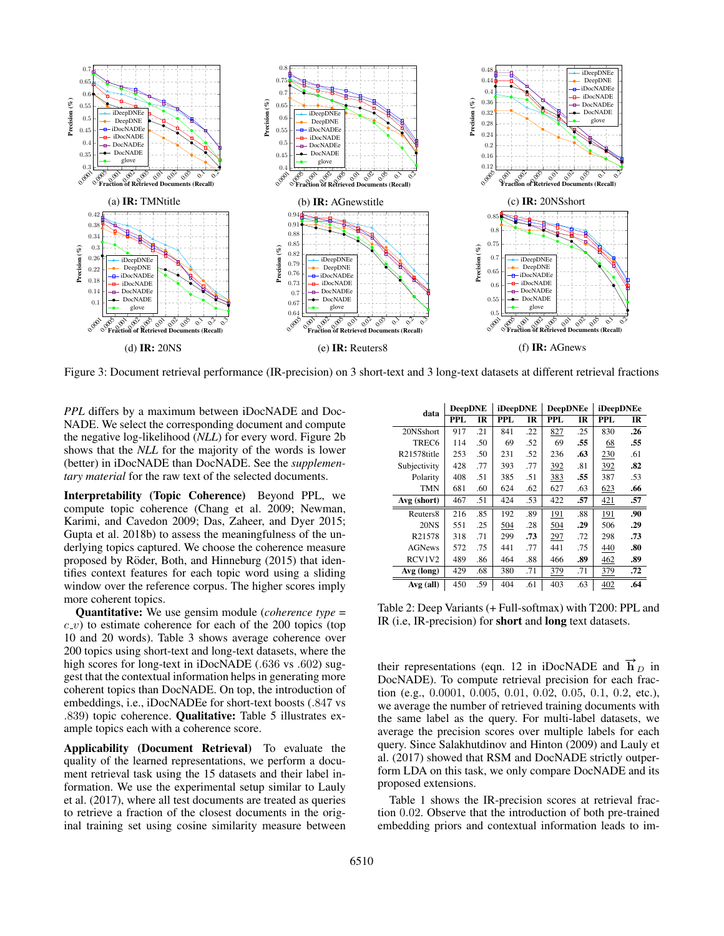

Figure 3: Document retrieval performance (IR-precision) on 3 short-text and 3 long-text datasets at different retrieval fractions

*PPL* differs by a maximum between iDocNADE and Doc-NADE. We select the corresponding document and compute the negative log-likelihood (*NLL*) for every word. Figure 2b shows that the *NLL* for the majority of the words is lower (better) in iDocNADE than DocNADE. See the *supplementary material* for the raw text of the selected documents.

Interpretability (Topic Coherence) Beyond PPL, we compute topic coherence (Chang et al. 2009; Newman, Karimi, and Cavedon 2009; Das, Zaheer, and Dyer 2015; Gupta et al. 2018b) to assess the meaningfulness of the underlying topics captured. We choose the coherence measure proposed by Röder, Both, and Hinneburg (2015) that identifies context features for each topic word using a sliding window over the reference corpus. The higher scores imply more coherent topics.

Quantitative: We use gensim module (*coherence type* =  $c$ -*v*) to estimate coherence for each of the 200 topics (top 10 and 20 words). Table 3 shows average coherence over 200 topics using short-text and long-text datasets, where the high scores for long-text in iDocNADE (.636 vs .602) suggest that the contextual information helps in generating more coherent topics than DocNADE. On top, the introduction of embeddings, i.e., iDocNADEe for short-text boosts (.847 vs .839) topic coherence. Qualitative: Table 5 illustrates example topics each with a coherence score.

Applicability (Document Retrieval) To evaluate the quality of the learned representations, we perform a document retrieval task using the 15 datasets and their label information. We use the experimental setup similar to Lauly et al. (2017), where all test documents are treated as queries to retrieve a fraction of the closest documents in the original training set using cosine similarity measure between

| data                 | <b>DeepDNE</b> |           | <b>iDeepDNE</b> |           | <b>DeepDNEe</b> |           | iDeepDNEe |           |  |
|----------------------|----------------|-----------|-----------------|-----------|-----------------|-----------|-----------|-----------|--|
|                      | PPL            | <b>IR</b> | PPL             | <b>IR</b> | PPL             | <b>IR</b> | PPL       | <b>IR</b> |  |
| 20NSshort            | 917            | .21       | 841             | .22       | 827             | .25       | 830       | .26       |  |
| TREC <sub>6</sub>    | 114            | .50       | 69              | .52       | 69              | .55       | 68        | .55       |  |
| R21578title          | 253            | .50       | 231             | .52       | 236             | .63       | 230       | .61       |  |
| Subjectivity         | 428            | .77       | 393             | .77       | 392             | .81       | 392       | .82       |  |
| Polarity             | 408            | .51       | 385             | .51       | 383             | .55       | 387       | .53       |  |
| TMN                  | 681            | .60       | 624             | .62       | 627             | .63       | 623       | .66       |  |
| Avg (short)          | 467            | .51       | 424             | .53       | 422             | .57       | 421       | .57       |  |
| Reuters <sub>8</sub> | 216            | .85       | 192             | .89       | 191             | .88       | 191       | .90       |  |
| 20NS                 | 551            | .25       | 504             | .28       | 504             | .29       | 506       | .29       |  |
| R21578               | 318            | .71       | 299             | .73       | 297             | .72       | 298       | .73       |  |
| <b>AGNews</b>        | 572            | .75       | 441             | .77       | 441             | .75       | 440       | .80       |  |
| RCV1V2               | 489            | .86       | 464             | .88       | 466             | .89       | 462       | .89       |  |
| Avg (long)           | 429            | .68       | 380             | .71       | 379             | .71       | 379       | .72       |  |
| $Avg$ (all)          | 450            | .59       | 404             | .61       | 403             | .63       | 402       | .64       |  |

Table 2: Deep Variants (+ Full-softmax) with T200: PPL and IR (i.e, IR-precision) for short and long text datasets.

their representations (eqn. 12 in iDocNADE and  $\overrightarrow{h}_D$  in DocNADE). To compute retrieval precision for each fraction (e.g., 0.0001, 0.005, 0.01, 0.02, 0.05, 0.1, 0.2, etc.), we average the number of retrieved training documents with the same label as the query. For multi-label datasets, we average the precision scores over multiple labels for each query. Since Salakhutdinov and Hinton (2009) and Lauly et al. (2017) showed that RSM and DocNADE strictly outperform LDA on this task, we only compare DocNADE and its proposed extensions.

Table 1 shows the IR-precision scores at retrieval fraction 0.02. Observe that the introduction of both pre-trained embedding priors and contextual information leads to im-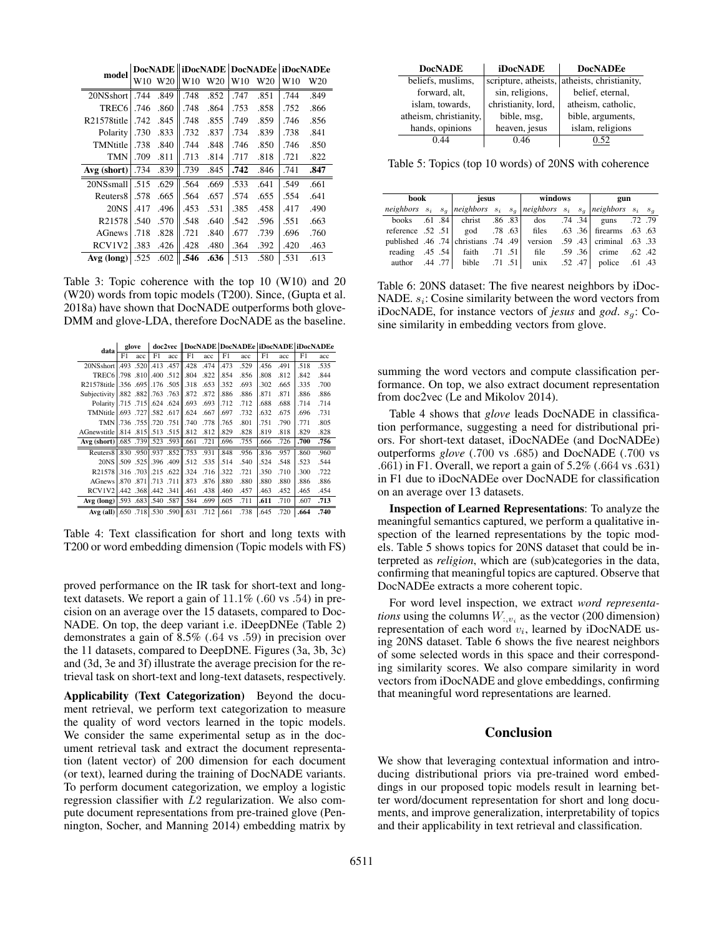| model             |      |      |                 |      |                 |      | DocNADE    iDocNADE    DocNADE    iDocNADE |      |  |
|-------------------|------|------|-----------------|------|-----------------|------|--------------------------------------------|------|--|
|                   | W10  | W20  | W <sub>10</sub> | W20  | W <sub>10</sub> | W20  | W10                                        | W20  |  |
| 20NSshort         | .744 | .849 | .748            | .852 | .747            | .851 | .744                                       | .849 |  |
| TREC <sub>6</sub> | .746 | .860 | .748            | .864 | .753            | .858 | .752                                       | .866 |  |
| R21578title       | .742 | .845 | .748            | .855 | .749            | .859 | .746                                       | .856 |  |
| Polarity          | .730 | .833 | .732            | .837 | .734            | .839 | .738                                       | .841 |  |
| TMNtitle          | .738 | .840 | .744            | .848 | .746            | .850 | .746                                       | .850 |  |
| <b>TMN</b>        | .709 | .811 | .713            | .814 | .717            | .818 | .721                                       | .822 |  |
| Avg (short)       | .734 | .839 | .739            | .845 | .742            | .846 | .741                                       | .847 |  |
| 20NSsmall         | .515 | .629 | .564            | .669 | .533            | .641 | .549                                       | .661 |  |
| Reuters8          | .578 | .665 | .564            | .657 | .574            | .655 | .554                                       | .641 |  |
| 20NS              | .417 | .496 | .453            | .531 | .385            | .458 | .417                                       | .490 |  |
| R21578            | .540 | .570 | .548            | .640 | .542            | .596 | .551                                       | .663 |  |
| <b>AGnews</b>     | .718 | .828 | .721            | .840 | .677            | .739 | .696                                       | .760 |  |
| RCV1V2            | .383 | .426 | .428            | .480 | .364            | .392 | .420                                       | .463 |  |
| Avg (long)        | .525 | .602 | .546            | .636 | .513            | .580 | .531                                       | .613 |  |

Table 3: Topic coherence with the top 10 (W10) and 20 (W20) words from topic models (T200). Since, (Gupta et al. 2018a) have shown that DocNADE outperforms both glove-DMM and glove-LDA, therefore DocNADE as the baseline.

| data                                             | glove |     |    |                          |    |      | doc2vec   DocNADE   DocNADEe   iDocNADE   iDocNADEe |      |      |      |      |      |
|--------------------------------------------------|-------|-----|----|--------------------------|----|------|-----------------------------------------------------|------|------|------|------|------|
|                                                  | F1    | acc | F1 | acc                      | F1 | acc  | F1                                                  | acc  | F1   | acc  | F1   | acc  |
| 20NSshort                                        |       |     |    | .493 .520 .413 .457 .428 |    | .474 | .473                                                | .529 | .456 | .491 | .518 | .535 |
| TREC61.798 .8101.400 .5121.804                   |       |     |    |                          |    | .822 | .854                                                | .856 | .808 | .812 | .842 | .844 |
| R21578title 356 .695 .176 .505 .318              |       |     |    |                          |    | .653 | .352                                                | .693 | .302 | .665 | .335 | .700 |
| 872. Subjectivity   .882 .882   .763 .763   .872 |       |     |    |                          |    | .872 | .886                                                | .886 | .871 | .871 | .886 | .886 |
| Polarity 715 .715 .624 .624 .693                 |       |     |    |                          |    | .693 | .712                                                | .712 | .688 | .688 | .714 | .714 |
| 624. TMNtitle 1.693 .727 1.582 .617 II.624       |       |     |    |                          |    | .667 | .697                                                | .732 | .632 | .675 | .696 | .731 |
| 751 .740 .751 .751 .751 TMN                      |       |     |    |                          |    | .778 | .765                                                | .801 | .751 | .790 | .771 | .805 |
| 812. S15 S15 S15 S15 S15 AGnewstitle   .814      |       |     |    |                          |    | .812 | .829                                                | .828 | .819 | .818 | .829 | .828 |
| Avg (short)   .685 .739   .523 .593    .661      |       |     |    |                          |    | .721 | .696                                                | .755 | .666 | .726 | .700 | .756 |
| Reuters8 .830 .950 .937 .852 .753                |       |     |    |                          |    | .931 | .848                                                | .956 | .836 | .957 | .860 | .960 |
| 20NS 509 525 396 409 512 535                     |       |     |    |                          |    |      | .514                                                | .540 | .524 | .548 | .523 | .544 |
| .324. R215781.316. 7031.215. 6221.324            |       |     |    |                          |    | .716 | .322                                                | .721 | .350 | .710 | .300 | .722 |
| 873. AGnews 1.870 .871 1.713 .711 1.873          |       |     |    |                          |    | .876 | .880                                                | .880 | .880 | .880 | .886 | .886 |
| RCV1V2   .442 .368   .442 .341    .461           |       |     |    |                          |    | .438 | .460                                                | .457 | .463 | .452 | .465 | .454 |
| Avg (long)   .593 .683   .540 .587    .584       |       |     |    |                          |    | .699 | .605                                                | .711 | .611 | .710 | .607 | .713 |
| 712. 631. 530. 590 590. 718. 631. 650. 650.      |       |     |    |                          |    |      | .661                                                | .738 | .645 | .720 | .664 | .740 |

Table 4: Text classification for short and long texts with T200 or word embedding dimension (Topic models with FS)

proved performance on the IR task for short-text and longtext datasets. We report a gain of 11.1% (.60 vs .54) in precision on an average over the 15 datasets, compared to Doc-NADE. On top, the deep variant i.e. iDeepDNEe (Table 2) demonstrates a gain of 8.5% (.64 vs .59) in precision over the 11 datasets, compared to DeepDNE. Figures (3a, 3b, 3c) and (3d, 3e and 3f) illustrate the average precision for the retrieval task on short-text and long-text datasets, respectively.

Applicability (Text Categorization) Beyond the document retrieval, we perform text categorization to measure the quality of word vectors learned in the topic models. We consider the same experimental setup as in the document retrieval task and extract the document representation (latent vector) of 200 dimension for each document (or text), learned during the training of DocNADE variants. To perform document categorization, we employ a logistic regression classifier with L2 regularization. We also compute document representations from pre-trained glove (Pennington, Socher, and Manning 2014) embedding matrix by

| <b>DocNADE</b>         | <b>iDocNADE</b>     | <b>DocNADEe</b>                              |
|------------------------|---------------------|----------------------------------------------|
| beliefs, muslims,      |                     | scripture, atheists, atheists, christianity, |
| forward, alt,          | sin, religions,     | belief, eternal,                             |
| islam, towards,        | christianity, lord, | atheism, catholic,                           |
| atheism, christianity, | bible, msg,         | bible, arguments,                            |
| hands, opinions        | heaven, jesus       | islam, religions                             |
| 0.44                   | 0.46                | 0.52                                         |

Table 5: Topics (top 10 words) of 20NS with coherence

| book |  | jesus                                                                                   | windows |  | gun |  |  |  |
|------|--|-----------------------------------------------------------------------------------------|---------|--|-----|--|--|--|
|      |  | neighbors $s_i$ $s_q$ neighbors $s_i$ $s_q$ neighbors $s_i$ $s_q$ neighbors $s_i$ $s_q$ |         |  |     |  |  |  |
|      |  | 09. 72. books .61 .84 christ .86 .83 dos .74 .34 guns .72                               |         |  |     |  |  |  |
|      |  | reference .52 .51 god .78 .63 files .63 .36 firearms .63 .63                            |         |  |     |  |  |  |
|      |  | published .46 .74 christians .74 .49 version .59 .43 criminal .63 .33                   |         |  |     |  |  |  |
|      |  | reading .45 .54 faith .71 .51 file .59 .36 crime .62 .42                                |         |  |     |  |  |  |
|      |  | author .44 .77 bible .71 .51 unix .52 .47 police .61 .43                                |         |  |     |  |  |  |

Table 6: 20NS dataset: The five nearest neighbors by iDoc-NADE.  $s_i$ : Cosine similarity between the word vectors from iDocNADE, for instance vectors of *jesus* and *god*.  $s_q$ : Cosine similarity in embedding vectors from glove.

summing the word vectors and compute classification performance. On top, we also extract document representation from doc2vec (Le and Mikolov 2014).

Table 4 shows that *glove* leads DocNADE in classification performance, suggesting a need for distributional priors. For short-text dataset, iDocNADEe (and DocNADEe) outperforms *glove* (.700 vs .685) and DocNADE (.700 vs .661) in F1. Overall, we report a gain of 5.2% (.664 vs .631) in F1 due to iDocNADEe over DocNADE for classification on an average over 13 datasets.

Inspection of Learned Representations: To analyze the meaningful semantics captured, we perform a qualitative inspection of the learned representations by the topic models. Table 5 shows topics for 20NS dataset that could be interpreted as *religion*, which are (sub)categories in the data, confirming that meaningful topics are captured. Observe that DocNADEe extracts a more coherent topic.

For word level inspection, we extract *word representations* using the columns  $W_{:,v_i}$  as the vector (200 dimension) representation of each word  $v_i$ , learned by iDocNADE using 20NS dataset. Table 6 shows the five nearest neighbors of some selected words in this space and their corresponding similarity scores. We also compare similarity in word vectors from iDocNADE and glove embeddings, confirming that meaningful word representations are learned.

#### Conclusion

We show that leveraging contextual information and introducing distributional priors via pre-trained word embeddings in our proposed topic models result in learning better word/document representation for short and long documents, and improve generalization, interpretability of topics and their applicability in text retrieval and classification.